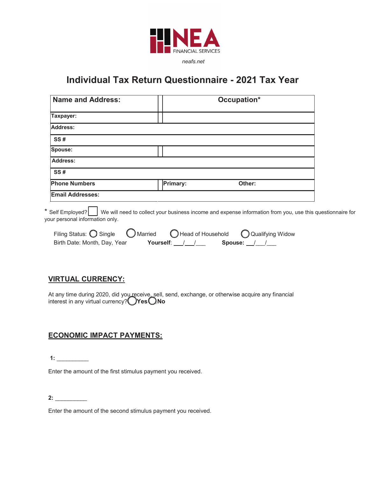

 $neafs.net$ 

# **lndividual Tax Return Questionnaire - 2021 Tax Year**

| <b>Name and Address:</b> |          | Occupation* |  |
|--------------------------|----------|-------------|--|
| Taxpayer:                |          |             |  |
| <b>Address:</b>          |          |             |  |
| <b>SS#</b>               |          |             |  |
| Spouse:                  |          |             |  |
| <b>Address:</b>          |          |             |  |
| SS#                      |          |             |  |
| <b>Phone Numbers</b>     | Primary: | Other:      |  |
| <b>Email Addresses:</b>  |          |             |  |

\* Self Employed? We will need to collect your business income and expense information from you, use this questionnaire for your personal information only.

| Filing Status: $\bigcirc$ Single $\bigcirc$ Married | Head of Household |             | Q Qualifying Widow |
|-----------------------------------------------------|-------------------|-------------|--------------------|
| Birth Date: Month, Day, Year                        | Yourself: / /     | Spouse: / / |                    |

## **VIRTUAL CURRENCY:**

At any time during 2020, did you receive, sell, send, exchange, or otherwise acquire any financial interest in any virtual currency? **Yes No**

## **ECONOMIC IMPACT PAYMENTS:**

 **1:** \_\_\_\_\_\_\_\_\_\_

Enter the amount of the first stimulus payment you received.

**2:** \_\_\_\_\_\_\_\_\_\_

Enter the amount of the second stimulus payment you received.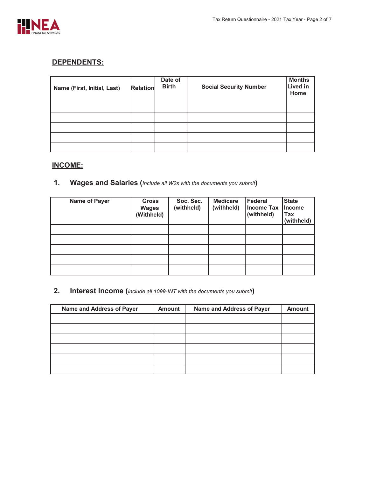

## **DEPENDENTS:**

| Name (First, Initial, Last) | <b>Relation</b> | Date of<br><b>Birth</b> | <b>Social Security Number</b> | <b>Months</b><br><b>Lived in</b><br>Home |
|-----------------------------|-----------------|-------------------------|-------------------------------|------------------------------------------|
|                             |                 |                         |                               |                                          |
|                             |                 |                         |                               |                                          |
|                             |                 |                         |                               |                                          |
|                             |                 |                         |                               |                                          |

## **INCOME:**

**1.** Wages and Salaries (*Include all W2s with the documents you submit*)

| Name of Payer | <b>Gross</b><br><b>Wages</b><br>(Withheld) | Soc. Sec.<br>(withheld) | <b>Medicare</b><br>(withheld) | <b>Federal</b><br><b>Income Tax</b><br>(withheld) | <b>State</b><br><b>Income</b><br>Tax<br>(withheld) |
|---------------|--------------------------------------------|-------------------------|-------------------------------|---------------------------------------------------|----------------------------------------------------|
|               |                                            |                         |                               |                                                   |                                                    |
|               |                                            |                         |                               |                                                   |                                                    |
|               |                                            |                         |                               |                                                   |                                                    |
|               |                                            |                         |                               |                                                   |                                                    |
|               |                                            |                         |                               |                                                   |                                                    |

## **2.** Interest Income (*include all 1099-INT with the documents you submit*)

| Name and Address of Payer | <b>Amount</b> | Name and Address of Payer | <b>Amount</b> |
|---------------------------|---------------|---------------------------|---------------|
|                           |               |                           |               |
|                           |               |                           |               |
|                           |               |                           |               |
|                           |               |                           |               |
|                           |               |                           |               |
|                           |               |                           |               |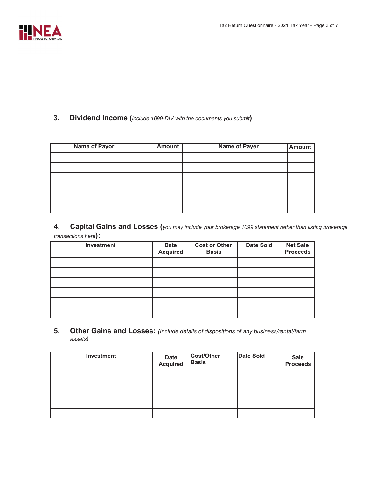

#### **3.** Dividend Income (*include 1099-DIV* with the documents you submit)

| <b>Name of Payor</b> | <b>Amount</b> | <b>Name of Payer</b> | Amount |
|----------------------|---------------|----------------------|--------|
|                      |               |                      |        |
|                      |               |                      |        |
|                      |               |                      |        |
|                      |               |                      |        |
|                      |               |                      |        |
|                      |               |                      |        |

**4.** Capital Gains and Losses (you may include your brokerage 1099 statement rather than listing brokerage  $transactions here$ ):

| Investment | <b>Date</b><br><b>Acquired</b> | <b>Cost or Other</b><br><b>Basis</b> | <b>Date Sold</b> | <b>Net Sale</b><br><b>Proceeds</b> |
|------------|--------------------------------|--------------------------------------|------------------|------------------------------------|
|            |                                |                                      |                  |                                    |
|            |                                |                                      |                  |                                    |
|            |                                |                                      |                  |                                    |
|            |                                |                                      |                  |                                    |
|            |                                |                                      |                  |                                    |
|            |                                |                                      |                  |                                    |

**. Other Gains and Losses:** *(Include details of dispositions of any business/rental/farm assets)*

| Investment | Date<br>Acquired | Cost/Other<br><b>Basis</b> | <b>Date Sold</b> | Sale<br>Proceeds |
|------------|------------------|----------------------------|------------------|------------------|
|            |                  |                            |                  |                  |
|            |                  |                            |                  |                  |
|            |                  |                            |                  |                  |
|            |                  |                            |                  |                  |
|            |                  |                            |                  |                  |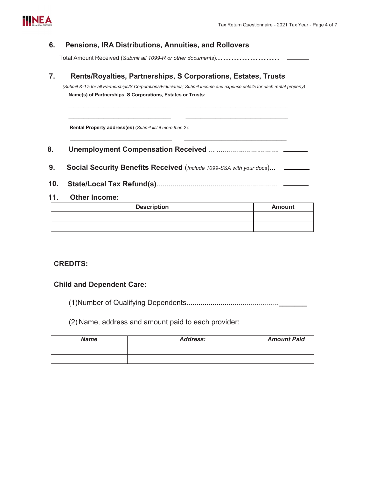

#### **. Pensions, IRA Distributions, Annuities, and Rollovers**

Total Amount Received *6XEPLWDOO5RURWKHUGRFXPHQWV*........................................

### **. Rents/Royalties, Partnerships, S Corporations, Estates, Trusts**

*(Submit K-1's for all Partnerships/S Corporations/Fiduciaries; Submit income and expense details for each rental property)* Name(s) of Partnerships, S Corporations, Estates or Trusts:

**Rental Property address(es)** (Submit list if more than 2):

**. Unemployment Compensation Received** ... ............................... BBBBBBBBBBBBBBBBBBBBBBBBBBBBBBBBBBBBBBBBBBBBBBBBBBBBBBBBBBBBBBBBBBBBBBBBBBBBBBBBBB

BBBBBBBBBBBBBBBBBBBBBBBBBBBBBBBBBBBBBBBBBBBBBBBBBBBBBBBBBBBBBBBBBBBBBBBBBBBBBBBBBB

- 9. Social Security Benefits Received (Include 1099-SSA with your docs)... \_\_\_\_\_\_
- **1. State/Local Tax Refund(s)**............................................................

#### **1. Other Income:**

| <b>Description</b> | <b>Amount</b> |
|--------------------|---------------|
|                    |               |
|                    |               |

#### **CREDITS:**

#### **Child and Dependent Care:**

(1)Number of Qualifying 'HSHQGHQWV..............................................**\_\_\_\_\_\_\_**

 $(2)$  Name, address and amount paid to each provider:

| <b>Name</b> | <b>Address:</b> | <b>Amount Paid</b> |
|-------------|-----------------|--------------------|
|             |                 |                    |
|             |                 |                    |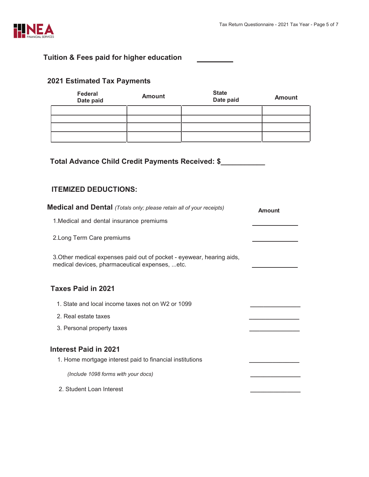

## **Tuition & Fees paid for higher education**

| Federal<br>Date paid                             | <b>Amount</b> | <b>State</b><br>Date paid | <b>Amount</b> |  |
|--------------------------------------------------|---------------|---------------------------|---------------|--|
|                                                  |               |                           |               |  |
|                                                  |               |                           |               |  |
|                                                  |               |                           |               |  |
|                                                  |               |                           |               |  |
| Total Advance Child Credit Payments Received: \$ |               |                           |               |  |

# **202 Estimated Tax Payments**

### **ITEMIZED DEDUCTIONS:**

| <b>Medical and Dental</b> (Totals only; please retain all of your receipts)                                              | Amount |
|--------------------------------------------------------------------------------------------------------------------------|--------|
| 1. Medical and dental insurance premiums                                                                                 |        |
| 2. Long Term Care premiums                                                                                               |        |
| 3. Other medical expenses paid out of pocket - eyewear, hearing aids,<br>medical devices, pharmaceutical expenses,  etc. |        |
| <b>Taxes Paid in 2021</b>                                                                                                |        |
| 1. State and local income taxes not on W2 or 1099                                                                        |        |
| 2. Real estate taxes                                                                                                     |        |
| 3. Personal property taxes                                                                                               |        |
| <b>Interest Paid in 2021</b>                                                                                             |        |
| 1. Home mortgage interest paid to financial institutions                                                                 |        |
| (Include 1098 forms with your docs)                                                                                      |        |
| 2. Student Loan Interest                                                                                                 |        |
|                                                                                                                          |        |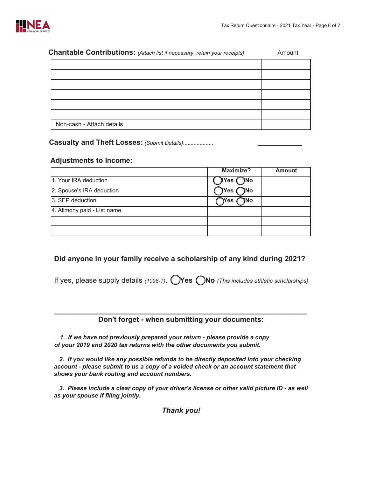

| Charitable Contributions: (Attach list if necessary, retain your receipts) | Amount |
|----------------------------------------------------------------------------|--------|
|                                                                            |        |
|                                                                            |        |
|                                                                            |        |
|                                                                            |        |
|                                                                            |        |
|                                                                            |        |
| Non-cash - Attach details                                                  |        |

**Casualty and Theft Losses:** (Submit Details)...................

#### **Adjustments to Income:**

|                             | <b>Maximize?</b>        | <b>Amount</b> |
|-----------------------------|-------------------------|---------------|
| 1. Your IRA deduction       | JYes (<br>$\bigcirc$ No |               |
| 2. Spouse's IRA deduction   | )Yes<br>)No             |               |
| 3. SEP deduction            | Yes<br><b>JNo</b>       |               |
| 4. Alimony paid - List name |                         |               |
|                             |                         |               |
|                             |                         |               |

#### **Did anyone in your family receive a scholarship of any kind during 202?**

If yes, please supply details *7*. **Yes No** *(This includes athletic scholarships)*

#### **BBBBBBBBBBBBBBBBBBBBBBBBBBBBBBBBBBBBBBBBBBBBBBBBBBBBBBBBBBBBBBB Don't forget - when submitting your documents:**

1. If we have not previously prepared your return - please provide a copy of your 2019 and 2020 tax returns with the other documents you submit.

2. If you would like any possible refunds to be directly deposited into your checking account - please submit to us a copy of a voided check or an account statement that shows your bank routing and account numbers.

3. Please include a clear copy of your driver's license or other valid picture ID - as well as your spouse if filing jointly.

*Thank you!*